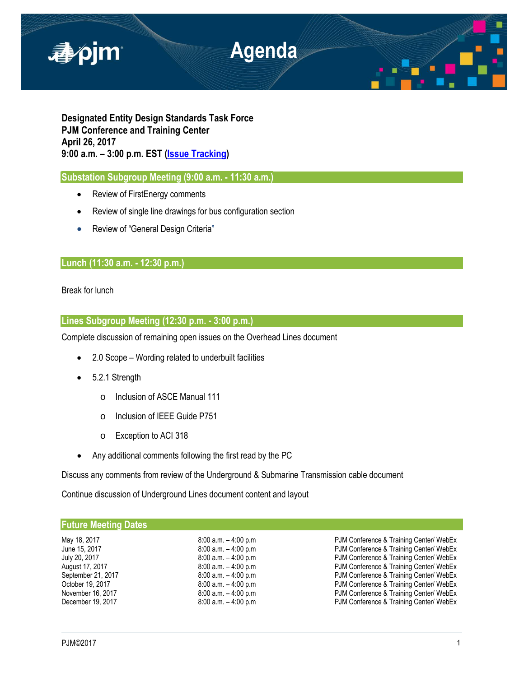

**Designated Entity Design Standards Task Force PJM Conference and Training Center April 26, 2017 9:00 a.m. – 3:00 p.m. EST [\(Issue Tracking\)](http://www.pjm.com/committees-and-groups/issue-tracking/issue-tracking-details.aspx?Issue=%7bE6133A76-DEC6-49DD-89E3-F5ECC642EA67%7d)**

**Substation Subgroup Meeting (9:00 a.m. - 11:30 a.m.)** 

- Review of FirstEnergy comments
- Review of single line drawings for bus configuration section
- Review of "General Design Criteria"

# **Lunch (11:30 a.m. - 12:30 p.m.)**

Break for lunch

## **Lines Subgroup Meeting (12:30 p.m. - 3:00 p.m.)**

Complete discussion of remaining open issues on the Overhead Lines document

- 2.0 Scope Wording related to underbuilt facilities
- 5.2.1 Strength
	- o Inclusion of ASCE Manual 111
	- o Inclusion of IEEE Guide P751
	- o Exception to ACI 318
- Any additional comments following the first read by the PC

Discuss any comments from review of the Underground & Submarine Transmission cable document

Continue discussion of Underground Lines document content and layout

| <b>Future Meeting Dates</b> |                         |                                         |
|-----------------------------|-------------------------|-----------------------------------------|
| May 18, 2017                | $8:00$ a.m. $-4:00$ p.m | PJM Conference & Training Center/ WebEx |
| June 15, 2017               | $8:00$ a.m. $-4:00$ p.m | PJM Conference & Training Center/ WebEx |
| July 20, 2017               | $8:00$ a.m. $-4:00$ p.m | PJM Conference & Training Center/ WebEx |
| August 17, 2017             | $8:00$ a.m. $-4:00$ p.m | PJM Conference & Training Center/ WebEx |
| September 21, 2017          | $8:00$ a.m. $-4:00$ p.m | PJM Conference & Training Center/ WebEx |
| October 19, 2017            | $8:00$ a.m. $-4:00$ p.m | PJM Conference & Training Center/ WebEx |
| November 16, 2017           | $8:00$ a.m. $-4:00$ p.m | PJM Conference & Training Center/ WebEx |
| December 19, 2017           | $8:00$ a.m. $-4:00$ p.m | PJM Conference & Training Center/ WebEx |